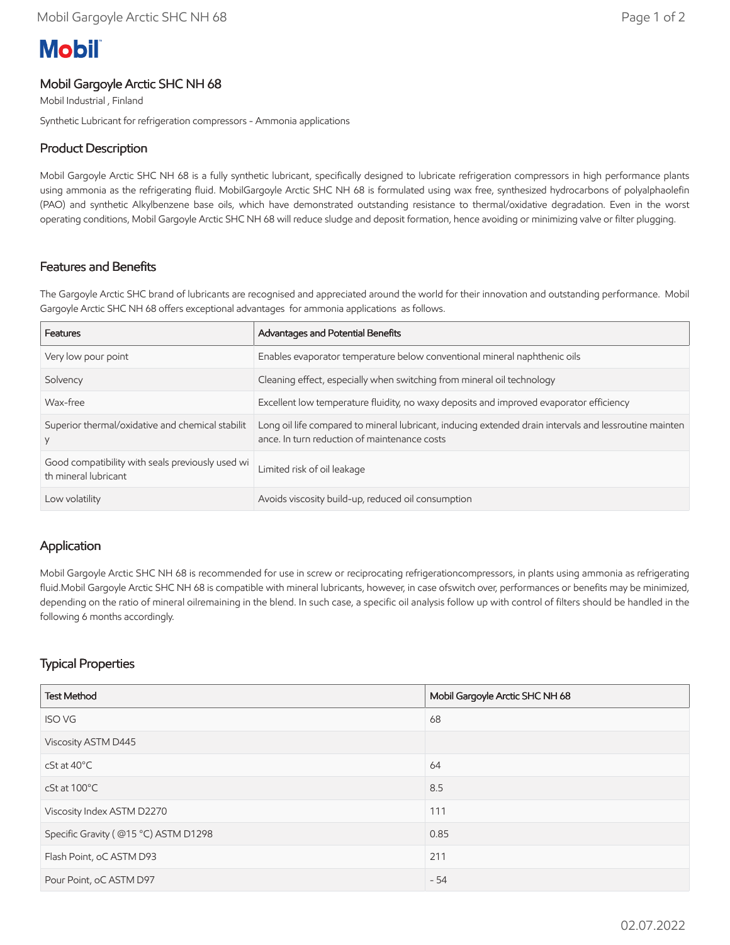# **Mobil**

#### Mobil Gargoyle Arctic SHC NH 68

Mobil Industrial , Finland

Synthetic Lubricant for refrigeration compressors - Ammonia applications

### Product Description

Mobil Gargoyle Arctic SHC NH 68 is a fully synthetic lubricant, specifically designed to lubricate refrigeration compressors in high performance plants using ammonia as the refrigerating fluid. MobilGargoyle Arctic SHC NH 68 is formulated using wax free, synthesized hydrocarbons of polyalphaolefin (PAO) and synthetic Alkylbenzene base oils, which have demonstrated outstanding resistance to thermal/oxidative degradation. Even in the worst operating conditions, Mobil Gargoyle Arctic SHC NH 68 will reduce sludge and deposit formation, hence avoiding or minimizing valve or filter plugging.

### Features and Benefits

The Gargoyle Arctic SHC brand of lubricants are recognised and appreciated around the world for their innovation and outstanding performance. Mobil Gargoyle Arctic SHC NH 68 offers exceptional advantages for ammonia applications as follows.

| Features                                                                 | Advantages and Potential Benefits                                                                                                                      |
|--------------------------------------------------------------------------|--------------------------------------------------------------------------------------------------------------------------------------------------------|
| Very low pour point                                                      | Enables evaporator temperature below conventional mineral naphthenic oils                                                                              |
| Solvency                                                                 | Cleaning effect, especially when switching from mineral oil technology                                                                                 |
| Wax-free                                                                 | Excellent low temperature fluidity, no waxy deposits and improved evaporator efficiency                                                                |
| Superior thermal/oxidative and chemical stabilit                         | Long oil life compared to mineral lubricant, inducing extended drain intervals and lessroutine mainten<br>ance. In turn reduction of maintenance costs |
| Good compatibility with seals previously used wi<br>th mineral lubricant | Limited risk of oil leakage                                                                                                                            |
| Low volatility                                                           | Avoids viscosity build-up, reduced oil consumption                                                                                                     |

#### Application

Mobil Gargoyle Arctic SHC NH 68 is recommended for use in screw or reciprocating refrigerationcompressors, in plants using ammonia as refrigerating fluid.Mobil Gargoyle Arctic SHC NH 68 is compatible with mineral lubricants, however, in case ofswitch over, performances or benefits may be minimized, depending on the ratio of mineral oilremaining in the blend. In such case, a specific oil analysis follow up with control of filters should be handled in the following 6 months accordingly.

# Typical Properties

| <b>Test Method</b>                   | Mobil Gargoyle Arctic SHC NH 68 |
|--------------------------------------|---------------------------------|
| <b>ISO VG</b>                        | 68                              |
| Viscosity ASTM D445                  |                                 |
| $cSt$ at $40^{\circ}$ C              | 64                              |
| cSt at 100°C                         | 8.5                             |
| Viscosity Index ASTM D2270           | 111                             |
| Specific Gravity (@15 °C) ASTM D1298 | 0.85                            |
| Flash Point, oC ASTM D93             | 211                             |
| Pour Point, oC ASTM D97              | $-54$                           |